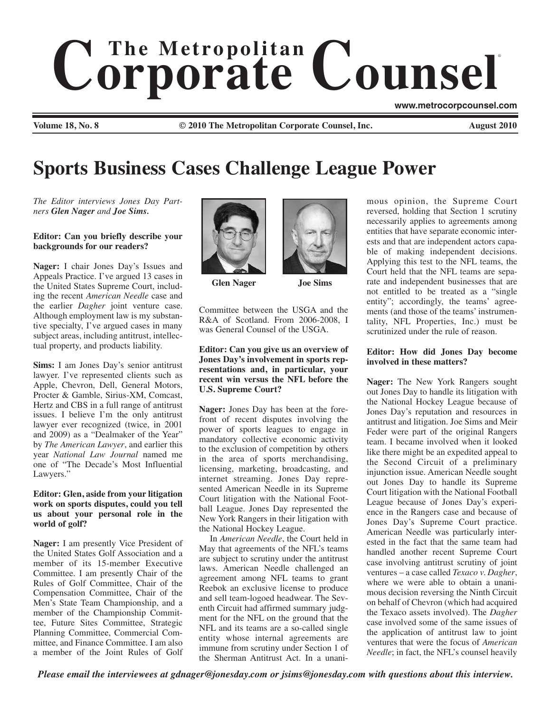# $$ ®

**Volume 18, No. 8 © 2010 The Metropolitan Corporate Counsel, Inc. August 2010**

**www.metrocorpcounsel.com**

# **Sports Business Cases Challenge League Power**

*The Editor interviews Jones Day Partners Glen Nager and Joe Sims.* 

#### **Editor: Can you briefly describe your backgrounds for our readers?**

**Nager:** I chair Jones Day's Issues and Appeals Practice. I've argued 13 cases in the United States Supreme Court, including the recent *American Needle* case and the earlier *Dagher* joint venture case. Although employment law is my substantive specialty, I've argued cases in many subject areas, including antitrust, intellectual property, and products liability.

**Sims:** I am Jones Day's senior antitrust lawyer. I've represented clients such as Apple, Chevron, Dell, General Motors, Procter & Gamble, Sirius-XM, Comcast, Hertz and CBS in a full range of antitrust issues. I believe I'm the only antitrust lawyer ever recognized (twice, in 2001 and 2009) as a "Dealmaker of the Year" by *The American Lawyer*, and earlier this year *National Law Journal* named me one of "The Decade's Most Influential Lawyers."

#### **Editor: Glen, aside from your litigation work on sports disputes, could you tell us about your personal role in the world of golf?**

**Nager:** I am presently Vice President of the United States Golf Association and a member of its 15-member Executive Committee. I am presently Chair of the Rules of Golf Committee, Chair of the Compensation Committee, Chair of the Men's State Team Championship, and a member of the Championship Committee, Future Sites Committee, Strategic Planning Committee, Commercial Committee, and Finance Committee. I am also a member of the Joint Rules of Golf



**Glen Nager Joe Sims**



Committee between the USGA and the R&A of Scotland. From 2006-2008, I was General Counsel of the USGA.

#### **Editor: Can you give us an overview of Jones Day's involvement in sports representations and, in particular, your recent win versus the NFL before the U.S. Supreme Court?**

**Nager:** Jones Day has been at the forefront of recent disputes involving the power of sports leagues to engage in mandatory collective economic activity to the exclusion of competition by others in the area of sports merchandising, licensing, marketing, broadcasting, and internet streaming. Jones Day represented American Needle in its Supreme Court litigation with the National Football League. Jones Day represented the New York Rangers in their litigation with the National Hockey League.

In *American Needle*, the Court held in May that agreements of the NFL's teams are subject to scrutiny under the antitrust laws. American Needle challenged an agreement among NFL teams to grant Reebok an exclusive license to produce and sell team-logoed headwear. The Seventh Circuit had affirmed summary judgment for the NFL on the ground that the NFL and its teams are a so-called single entity whose internal agreements are immune from scrutiny under Section 1 of the Sherman Antitrust Act. In a unani-

mous opinion, the Supreme Court reversed, holding that Section 1 scrutiny necessarily applies to agreements among entities that have separate economic interests and that are independent actors capable of making independent decisions. Applying this test to the NFL teams, the Court held that the NFL teams are separate and independent businesses that are not entitled to be treated as a "single entity"; accordingly, the teams' agreements (and those of the teams' instrumentality, NFL Properties, Inc.) must be scrutinized under the rule of reason.

## **Editor: How did Jones Day become involved in these matters?**

**Nager:** The New York Rangers sought out Jones Day to handle its litigation with the National Hockey League because of Jones Day's reputation and resources in antitrust and litigation. Joe Sims and Meir Feder were part of the original Rangers team. I became involved when it looked like there might be an expedited appeal to the Second Circuit of a preliminary injunction issue. American Needle sought out Jones Day to handle its Supreme Court litigation with the National Football League because of Jones Day's experience in the Rangers case and because of Jones Day's Supreme Court practice. American Needle was particularly interested in the fact that the same team had handled another recent Supreme Court case involving antitrust scrutiny of joint ventures – a case called *Texaco v. Dagher*, where we were able to obtain a unanimous decision reversing the Ninth Circuit on behalf of Chevron (which had acquired the Texaco assets involved). The *Dagher* case involved some of the same issues of the application of antitrust law to joint ventures that were the focus of *American Needle*; in fact, the NFL's counsel heavily

*Please email the interviewees at gdnager@jonesday.com or jsims@jonesday.com with questions about this interview.*